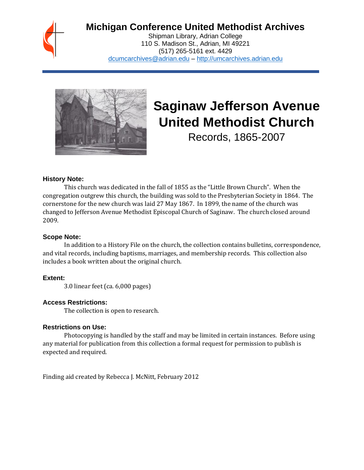

## **Michigan Conference United Methodist Archives**

Shipman Library, Adrian College 110 S. Madison St., Adrian, MI 49221 (517) 265-5161 ext. 4429 [dcumcarchives@adrian.edu](mailto:dcumcarchives@adrian.edu) – [http://umcarchives.adrian.edu](http://umcarchives.adrian.edu/)



# **Saginaw Jefferson Avenue United Methodist Church**

Records, 1865-2007

#### **History Note:**

This church was dedicated in the fall of 1855 as the "Little Brown Church". When the congregation outgrew this church, the building was sold to the Presbyterian Society in 1864. The cornerstone for the new church was laid 27 May 1867. In 1899, the name of the church was changed to Jefferson Avenue Methodist Episcopal Church of Saginaw. The church closed around 2009.

#### **Scope Note:**

In addition to a History File on the church, the collection contains bulletins, correspondence, and vital records, including baptisms, marriages, and membership records. This collection also includes a book written about the original church.

#### **Extent:**

3.0 linear feet (ca. 6,000 pages)

#### **Access Restrictions:**

The collection is open to research.

#### **Restrictions on Use:**

Photocopying is handled by the staff and may be limited in certain instances. Before using any material for publication from this collection a formal request for permission to publish is expected and required.

Finding aid created by Rebecca J. McNitt, February 2012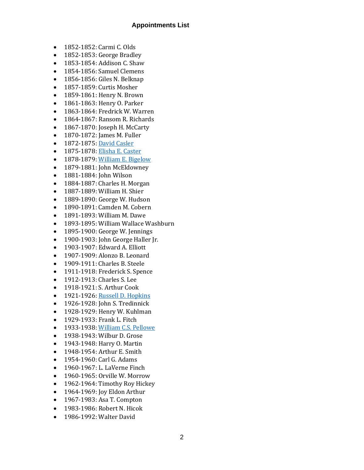#### **Appointments List**

- 1852-1852: Carmi C. Olds
- 1852-1853: George Bradley
- 1853-1854: Addison C. Shaw
- 1854-1856: Samuel Clemens
- 1856-1856: Giles N. Belknap
- 1857-1859: Curtis Mosher
- 1859-1861: Henry N. Brown
- 1861-1863: Henry O. Parker
- 1863-1864: Fredrick W. Warren
- 1864-1867: Ransom R. Richards
- 1867-1870: Joseph H. McCarty
- 1870-1872: James M. Fuller
- 1872-1875[: David Casler](http://umcarchives.adrian.edu/clergy/caslerd.php)
- 1875-1878[: Elisha E. Caster](http://umcarchives.adrian.edu/fa/castereepapers.pdf)
- 1878-1879[: William E. Bigelow](http://umcarchives.adrian.edu/clergy/bigelowwe.php)
- 1879-1881: John McEldowney
- 1881-1884: John Wilson
- 1884-1887: Charles H. Morgan
- 1887-1889: William H. Shier
- 1889-1890: George W. Hudson
- 1890-1891: Camden M. Cobern
- 1891-1893: William M. Dawe
- 1893-1895: William Wallace Washburn
- 1895-1900: George W. Jennings
- 1900-1903: John George Haller Jr.
- 1903-1907: Edward A. Elliott
- 1907-1909: Alonzo B. Leonard
- 1909-1911: Charles B. Steele
- 1911-1918: Frederick S. Spence
- 1912-1913: Charles S. Lee
- 1918-1921: S. Arthur Cook
- 1921-1926[: Russell D. Hopkins](http://umcarchives.adrian.edu/clergy/hopkinsrd.php)
- 1926-1928: John S. Tredinnick
- 1928-1929: Henry W. Kuhlman
- 1929-1933: Frank L. Fitch
- 1933-1938[: William C.S. Pellowe](http://umcarchives.adrian.edu/fa/pellowewcspapers.pdf)
- 1938-1943: Wilbur D. Grose
- 1943-1948: Harry O. Martin
- 1948-1954: Arthur E. Smith
- 1954-1960: Carl G. Adams
- 1960-1967: L. LaVerne Finch
- 1960-1965: Orville W. Morrow
- 1962-1964: Timothy Roy Hickey
- 1964-1969: Joy Eldon Arthur
- 1967-1983: Asa T. Compton
- 1983-1986: Robert N. Hicok
- 1986-1992: Walter David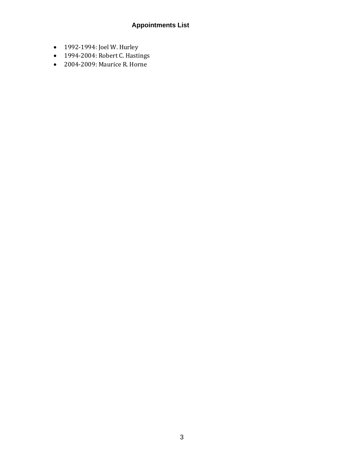### **Appointments List**

- 1992-1994: Joel W. Hurley
- 1994-2004: Robert C. Hastings
- 2004-2009: Maurice R. Horne